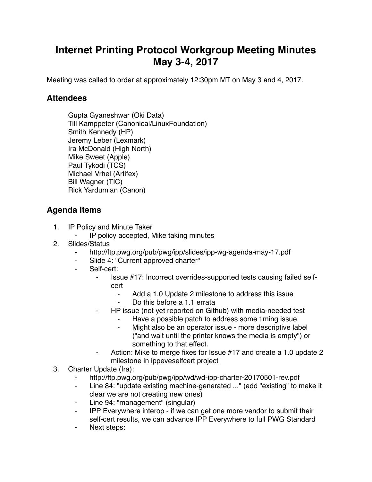## **Internet Printing Protocol Workgroup Meeting Minutes May 3-4, 2017**

Meeting was called to order at approximately 12:30pm MT on May 3 and 4, 2017.

## **Attendees**

Gupta Gyaneshwar (Oki Data) Till Kamppeter (Canonical/LinuxFoundation) Smith Kennedy (HP) Jeremy Leber (Lexmark) Ira McDonald (High North) Mike Sweet (Apple) Paul Tykodi (TCS) Michael Vrhel (Artifex) Bill Wagner (TIC) Rick Yardumian (Canon)

## **Agenda Items**

- 1. IP Policy and Minute Taker
	- ⁃ IP policy accepted, Mike taking minutes
- 2. Slides/Status
	- ⁃ http://ftp.pwg.org/pub/pwg/ipp/slides/ipp-wg-agenda-may-17.pdf
	- Slide 4: "Current approved charter"
	- Self-cert:
		- ⁃ Issue #17: Incorrect overrides-supported tests causing failed selfcert
			- ⁃ Add a 1.0 Update 2 milestone to address this issue
				- Do this before a 1.1 errata
		- ⁃ HP issue (not yet reported on Github) with media-needed test
			- Have a possible patch to address some timing issue
			- Might also be an operator issue more descriptive label ("and wait until the printer knows the media is empty") or something to that effect.
		- Action: Mike to merge fixes for Issue #17 and create a 1.0 update 2 milestone in ippeveselfcert project
- 3. Charter Update (Ira):
	- http://ftp.pwg.org/pub/pwg/ipp/wd/wd-ipp-charter-20170501-rev.pdf
	- ⁃ Line 84: "update existing machine-generated ..." (add "existing" to make it clear we are not creating new ones)
	- ⁃ Line 94: "management" (singular)
	- IPP Everywhere interop if we can get one more vendor to submit their self-cert results, we can advance IPP Everywhere to full PWG Standard
	- ⁃ Next steps: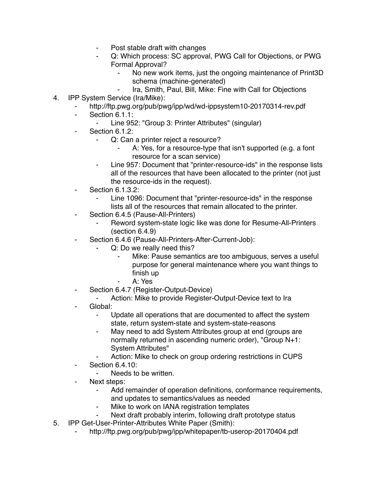- Post stable draft with changes
- Q: Which process: SC approval, PWG Call for Objections, or PWG Formal Approval?
	- No new work items, just the ongoing maintenance of Print3D schema (machine-generated)
	- Ira, Smith, Paul, Bill, Mike: Fine with Call for Objections
- 4. IPP System Service (Ira/Mike):
	- http://ftp.pwg.org/pub/pwg/ipp/wd/wd-ippsystem10-20170314-rev.pdf
	- ⁃ Section 6.1.1:
		- Line 952: "Group 3: Printer Attributes" (singular)
	- Section 6.1.2:
		- ⁃ Q: Can a printer reject a resource?
			- A: Yes, for a resource-type that isn't supported (e.g. a font resource for a scan service)
		- ⁃ Line 957: Document that "printer-resource-ids" in the response lists all of the resources that have been allocated to the printer (not just the resource-ids in the request).
	- **Section 6.1.3.2:** 
		- Line 1096: Document that "printer-resource-ids" in the response lists all of the resources that remain allocated to the printer.
	- ⁃ Section 6.4.5 (Pause-All-Printers)
		- Reword system-state logic like was done for Resume-All-Printers (section 6.4.9)
		- Section 6.4.6 (Pause-All-Printers-After-Current-Job):
			- Q: Do we really need this?
				- Mike: Pause semantics are too ambiguous, serves a useful purpose for general maintenance where you want things to finish up
				- ⁃ A: Yes
	- ⁃ Section 6.4.7 (Register-Output-Device)
		- ⁃ Action: Mike to provide Register-Output-Device text to Ira
	- Global:
		- Update all operations that are documented to affect the system state, return system-state and system-state-reasons
		- May need to add System Attributes group at end (groups are normally returned in ascending numeric order), "Group N+1: System Attributes"
		- Action: Mike to check on group ordering restrictions in CUPS
	- ⁃ Section 6.4.10:
		- Needs to be written.
	- Next steps:
		- Add remainder of operation definitions, conformance requirements, and updates to semantics/values as needed
		- Mike to work on IANA registration templates
		- Next draft probably interim, following draft prototype status
- 5. IPP Get-User-Printer-Attributes White Paper (Smith):
	- http://ftp.pwg.org/pub/pwg/ipp/whitepaper/tb-userop-20170404.pdf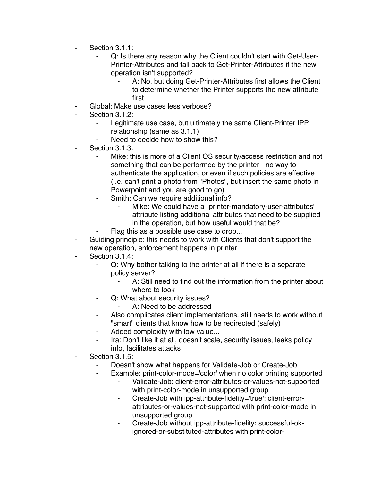- Section 3.1.1:
	- Q: Is there any reason why the Client couldn't start with Get-User-Printer-Attributes and fall back to Get-Printer-Attributes if the new operation isn't supported?
		- A: No, but doing Get-Printer-Attributes first allows the Client to determine whether the Printer supports the new attribute first
- Global: Make use cases less verbose?
- Section 3.1.2:
	- Legitimate use case, but ultimately the same Client-Printer IPP relationship (same as 3.1.1)
	- Need to decide how to show this?
- Section 3.1.3:
	- Mike: this is more of a Client OS security/access restriction and not something that can be performed by the printer - no way to authenticate the application, or even if such policies are effective (i.e. can't print a photo from "Photos", but insert the same photo in Powerpoint and you are good to go)
	- ⁃ Smith: Can we require additional info?
		- Mike: We could have a "printer-mandatory-user-attributes" attribute listing additional attributes that need to be supplied in the operation, but how useful would that be?
		- Flag this as a possible use case to drop...
- Guiding principle: this needs to work with Clients that don't support the new operation, enforcement happens in printer
- Section 3.1.4:
	- ⁃ Q: Why bother talking to the printer at all if there is a separate policy server?
		- A: Still need to find out the information from the printer about where to look
	- ⁃ Q: What about security issues?
		- A: Need to be addressed
	- Also complicates client implementations, still needs to work without "smart" clients that know how to be redirected (safely)
	- ⁃ Added complexity with low value...
	- Ira: Don't like it at all, doesn't scale, security issues, leaks policy info, facilitates attacks
- Section 3.1.5:
	- Doesn't show what happens for Validate-Job or Create-Job
	- Example: print-color-mode='color' when no color printing supported
		- Validate-Job: client-error-attributes-or-values-not-supported with print-color-mode in unsupported group
		- ⁃ Create-Job with ipp-attribute-fidelity='true': client-errorattributes-or-values-not-supported with print-color-mode in unsupported group
		- ⁃ Create-Job without ipp-attribute-fidelity: successful-okignored-or-substituted-attributes with print-color-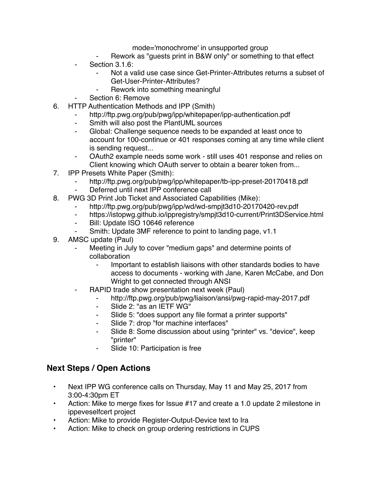mode='monochrome' in unsupported group

- Rework as "guests print in B&W only" or something to that effect
- Section 3.1.6:
	- Not a valid use case since Get-Printer-Attributes returns a subset of Get-User-Printer-Attributes?
	- Rework into something meaningful
- Section 6: Remove
- 6. HTTP Authentication Methods and IPP (Smith)
	- http://ftp.pwg.org/pub/pwg/ipp/whitepaper/ipp-authentication.pdf
	- ⁃ Smith will also post the PlantUML sources
	- ⁃ Global: Challenge sequence needs to be expanded at least once to account for 100-continue or 401 responses coming at any time while client is sending request...
	- OAuth2 example needs some work still uses 401 response and relies on Client knowing which OAuth server to obtain a bearer token from...
- 7. IPP Presets White Paper (Smith):
	- http://ftp.pwg.org/pub/pwg/ipp/whitepaper/tb-ipp-preset-20170418.pdf
	- Deferred until next IPP conference call
- 8. PWG 3D Print Job Ticket and Associated Capabilities (Mike):
	- http://ftp.pwg.org/pub/pwg/ipp/wd/wd-smpjt3d10-20170420-rev.pdf
	- https://istopwg.github.io/ippregistry/smpjt3d10-current/Print3DService.html
	- ⁃ Bill: Update ISO 10646 reference
	- Smith: Update 3MF reference to point to landing page, v1.1
- 9. AMSC update (Paul)
	- Meeting in July to cover "medium gaps" and determine points of collaboration
		- Important to establish liaisons with other standards bodies to have access to documents - working with Jane, Karen McCabe, and Don Wright to get connected through ANSI
	- RAPID trade show presentation next week (Paul)
		- ⁃ http://ftp.pwg.org/pub/pwg/liaison/ansi/pwg-rapid-may-2017.pdf
		- ⁃ Slide 2: "as an IETF WG"
		- Slide 5: "does support any file format a printer supports"
		- Slide 7: drop "for machine interfaces"
		- Slide 8: Some discussion about using "printer" vs. "device", keep "printer"
		- Slide 10: Participation is free

## **Next Steps / Open Actions**

- Next IPP WG conference calls on Thursday, May 11 and May 25, 2017 from 3:00-4:30pm ET
- Action: Mike to merge fixes for Issue #17 and create a 1.0 update 2 milestone in ippeveselfcert project
- Action: Mike to provide Register-Output-Device text to Ira
- Action: Mike to check on group ordering restrictions in CUPS